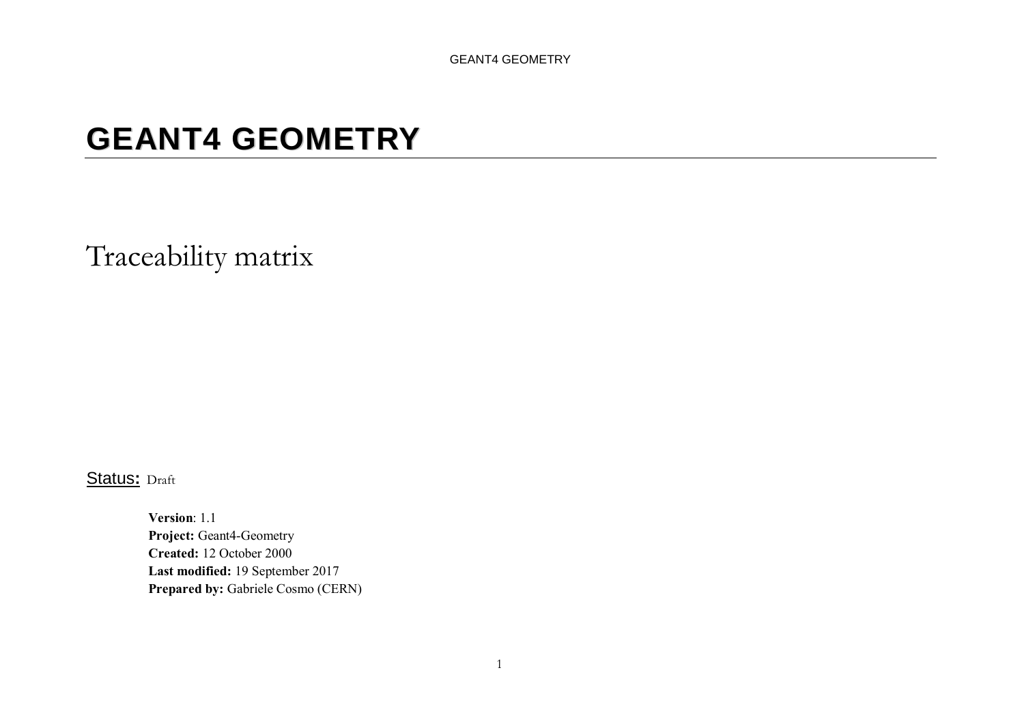# **GEANT4 GEOMETRY**

Traceability matrix

Status**:** Draft

Version: 1.1 Project: Geant4-Geometry Created: 12 October 2000 Last modified: 19 September 2017 Prepared by: Gabriele Cosmo (CERN)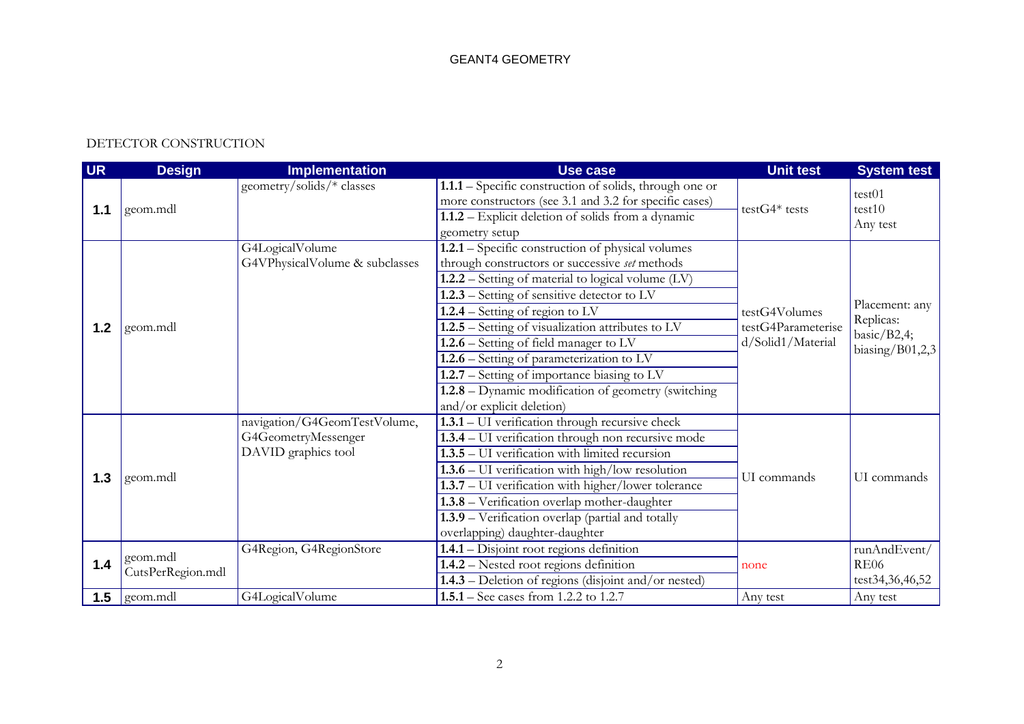# DETECTOR CONSTRUCTION

| <b>UR</b> | <b>Design</b>     | <b>Implementation</b>          | Use case                                                | <b>Unit test</b>   | <b>System test</b>          |
|-----------|-------------------|--------------------------------|---------------------------------------------------------|--------------------|-----------------------------|
|           |                   | geometry/solids/* classes      | 1.1.1 - Specific construction of solids, through one or |                    | test01                      |
| 1.1       | geom.mdl          |                                | more constructors (see 3.1 and 3.2 for specific cases)  | $testG4*$ tests    | test10                      |
|           |                   |                                | 1.1.2 – Explicit deletion of solids from a dynamic      |                    | Any test                    |
|           |                   |                                | geometry setup                                          |                    |                             |
|           |                   | G4LogicalVolume                | 1.2.1 – Specific construction of physical volumes       |                    |                             |
|           |                   | G4VPhysicalVolume & subclasses | through constructors or successive set methods          |                    |                             |
|           |                   |                                | $1.2.2$ – Setting of material to logical volume (LV)    |                    |                             |
|           |                   |                                | $1.2.3$ – Setting of sensitive detector to LV           |                    |                             |
|           |                   |                                | $1.2.4$ – Setting of region to LV                       | testG4Volumes      | Placement: any              |
| 1.2       | geom.mdl          |                                | 1.2.5 - Setting of visualization attributes to LV       | testG4Parameterise | Replicas:<br>basic/ $B2,4;$ |
|           |                   |                                | $\overline{1.2.6}$ – Setting of field manager to LV     | d/Solid1/Material  | biasing/ $B01,2,3$          |
|           |                   |                                | $1.2.6$ – Setting of parameterization to LV             |                    |                             |
|           |                   |                                | $1.2.7$ – Setting of importance biasing to LV           |                    |                             |
|           |                   |                                | 1.2.8 – Dynamic modification of geometry (switching     |                    |                             |
|           |                   |                                | and/or explicit deletion)                               |                    |                             |
|           |                   | navigation/G4GeomTestVolume,   | 1.3.1 - UI verification through recursive check         |                    |                             |
|           |                   | G4GeometryMessenger            | 1.3.4 - UI verification through non recursive mode      |                    |                             |
|           |                   | DAVID graphics tool            | 1.3.5 – UI verification with limited recursion          |                    |                             |
|           |                   |                                | $1.3.6 - UI$ verification with high/low resolution      |                    |                             |
| 1.3       | geom.mdl          |                                | 1.3.7 - UI verification with higher/lower tolerance     | UI commands        | UI commands                 |
|           |                   |                                | 1.3.8 - Verification overlap mother-daughter            |                    |                             |
|           |                   |                                | 1.3.9 - Verification overlap (partial and totally       |                    |                             |
|           |                   |                                | overlapping) daughter-daughter                          |                    |                             |
|           |                   | G4Region, G4RegionStore        | 1.4.1 - Disjoint root regions definition                |                    | runAndEvent/                |
| 1.4       | geom.mdl          |                                | 1.4.2 – Nested root regions definition                  | none               | <b>RE06</b>                 |
|           | CutsPerRegion.mdl |                                | $1.4.3$ – Deletion of regions (disjoint and/or nested)  |                    | test34,36,46,52             |
|           | $1.5$ geom.mdl    | G4LogicalVolume                | 1.5.1 – See cases from 1.2.2 to 1.2.7                   | Any test           | Any test                    |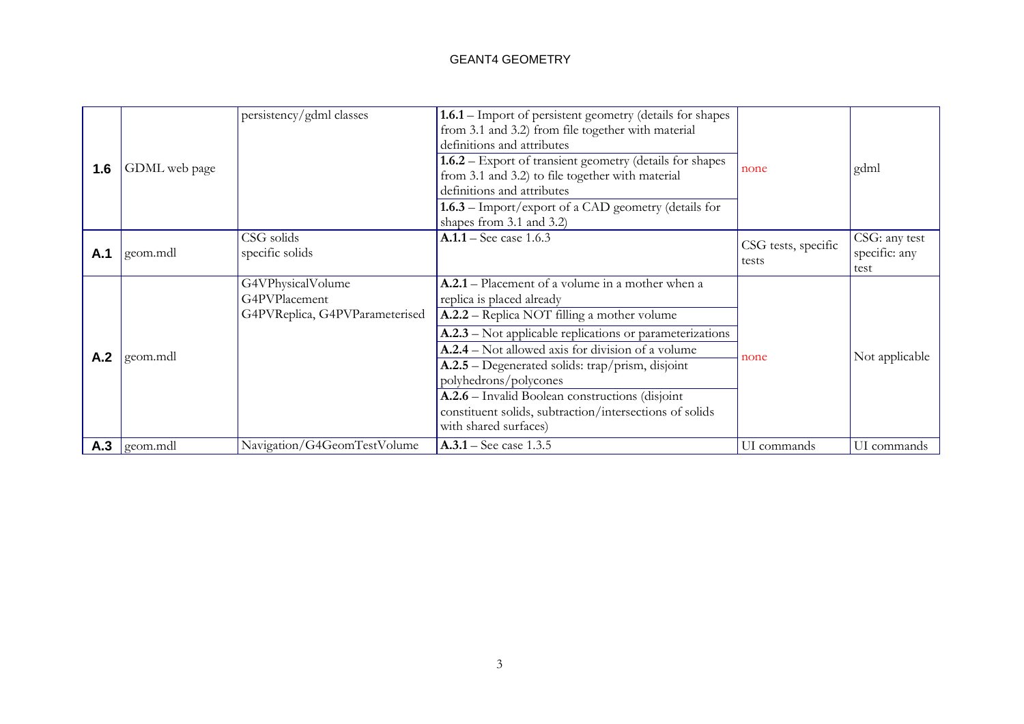| 1.6 | GDML web page           | persistency/gdml classes                                             | 1.6.1 – Import of persistent geometry (details for shapes<br>from 3.1 and 3.2) from file together with material<br>definitions and attributes<br>1.6.2 – Export of transient geometry (details for shapes<br>from 3.1 and 3.2) to file together with material<br>definitions and attributes<br><b>1.6.3</b> – Import/export of a CAD geometry (details for<br>shapes from 3.1 and 3.2)                                                                                   | none                         | gdml                                   |
|-----|-------------------------|----------------------------------------------------------------------|--------------------------------------------------------------------------------------------------------------------------------------------------------------------------------------------------------------------------------------------------------------------------------------------------------------------------------------------------------------------------------------------------------------------------------------------------------------------------|------------------------------|----------------------------------------|
| A.1 | geom.mdl                | CSG solids<br>specific solids                                        | $A.1.1 -$ See case 1.6.3                                                                                                                                                                                                                                                                                                                                                                                                                                                 | CSG tests, specific<br>tests | CSG: any test<br>specific: any<br>test |
| A.2 | geom.mdl                | G4VPhysicalVolume<br>G4PVPlacement<br>G4PVReplica, G4PVParameterised | <b>A.2.1</b> – Placement of a volume in a mother when a<br>replica is placed already<br>A.2.2 – Replica NOT filling a mother volume<br>A.2.3 – Not applicable replications or parameterizations<br>A.2.4 – Not allowed axis for division of a volume<br>A.2.5 – Degenerated solids: trap/prism, disjoint<br>polyhedrons/polycones<br>A.2.6 - Invalid Boolean constructions (disjoint<br>constituent solids, subtraction/intersections of solids<br>with shared surfaces) | none                         | Not applicable                         |
|     | $\mathsf{A.3}$ geom.mdl | Navigation/G4GeomTestVolume                                          | $A.3.1 -$ See case 1.3.5                                                                                                                                                                                                                                                                                                                                                                                                                                                 | UI commands                  | UI commands                            |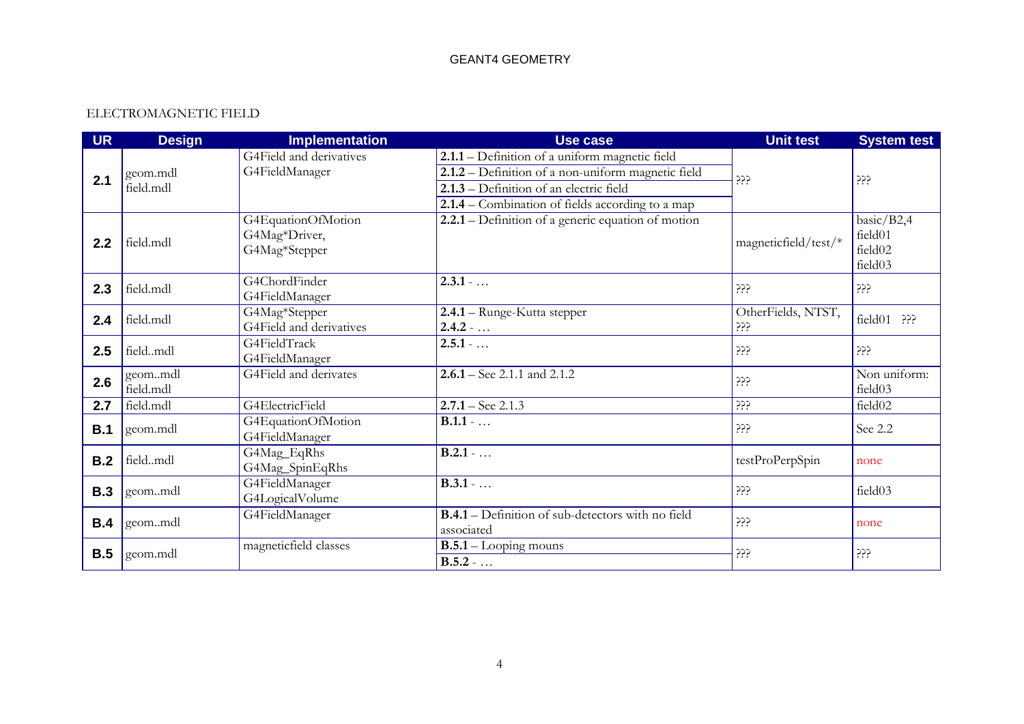# ELECTROMAGNETIC FIELD

| <b>UR</b>  | <b>Design</b> | <b>Implementation</b>   | <b>Use case</b>                                          | <b>Unit test</b>     | <b>System test</b> |
|------------|---------------|-------------------------|----------------------------------------------------------|----------------------|--------------------|
|            |               | G4Field and derivatives | 2.1.1 – Definition of a uniform magnetic field           |                      |                    |
| 2.1        | geom.mdl      | G4FieldManager          | 2.1.2 – Definition of a non-uniform magnetic field       | ڊڄڄ                  | ڊڊڊ                |
|            | field.mdl     |                         | 2.1.3 – Definition of an electric field                  |                      |                    |
|            |               |                         | $2.1.4$ – Combination of fields according to a map       |                      |                    |
|            |               | G4EquationOfMotion      | 2.2.1 – Definition of a generic equation of motion       |                      | basic/B2,4         |
| 2.2        | field.mdl     | G4Mag*Driver,           |                                                          | magneticfield/test/* | field01            |
|            |               | G4Mag*Stepper           |                                                          |                      | field02            |
|            |               |                         |                                                          |                      | field03            |
| 2.3        | field.mdl     | G4ChordFinder           | $2.3.1 - $                                               | ڊڊڊ                  | ذذذ                |
|            |               | G4FieldManager          |                                                          |                      |                    |
| 2.4        | field.mdl     | G4Mag*Stepper           | 2.4.1 - Runge-Kutta stepper                              | OtherFields, NTST,   | field01 ???        |
|            |               | G4Field and derivatives | $2.4.2 - $                                               | ڊڊڊ                  |                    |
| 2.5        | fieldmdl      | G4FieldTrack            | $2.5.1 - $                                               | ڊڄڄ                  | ڊڊڊ                |
|            |               | G4FieldManager          |                                                          |                      |                    |
| 2.6        | geommdl       | G4Field and derivates   | $2.6.1 -$ See 2.1.1 and 2.1.2                            | ڊڄڄ                  | Non uniform:       |
|            | field.mdl     |                         |                                                          |                      | field03            |
| 2.7        | field.mdl     | G4ElectricField         | $2.7.1 -$ See 2.1.3                                      | ڊڄڄ                  | field02            |
| B.1        | geom.mdl      | G4EquationOfMotion      | $\overline{B.1.1 - }$                                    | ڊڊڊ                  | See 2.2            |
|            |               | G4FieldManager          |                                                          |                      |                    |
| B.2        | fieldmdl      | G4Mag_EqRhs             | $\overline{B.2.1}$ -                                     | testProPerpSpin      | none               |
|            |               | G4Mag_SpinEqRhs         |                                                          |                      |                    |
| <b>B.3</b> | geommdl       | G4FieldManager          | $B.3.1 - $                                               | ڊڄڄ                  | field03            |
|            |               | G4LogicalVolume         |                                                          |                      |                    |
| B.4        | geommdl       | G4FieldManager          | <b>B.4.1</b> – Definition of sub-detectors with no field | ڊڄڄ                  | none               |
|            |               |                         | associated                                               |                      |                    |
| B.5        | geom.mdl      | magneticfield classes   | $B.5.1 - Looping$ mouns                                  | ڊڊڊ                  | ذذذ                |
|            |               |                         | $B.5.2 - $                                               |                      |                    |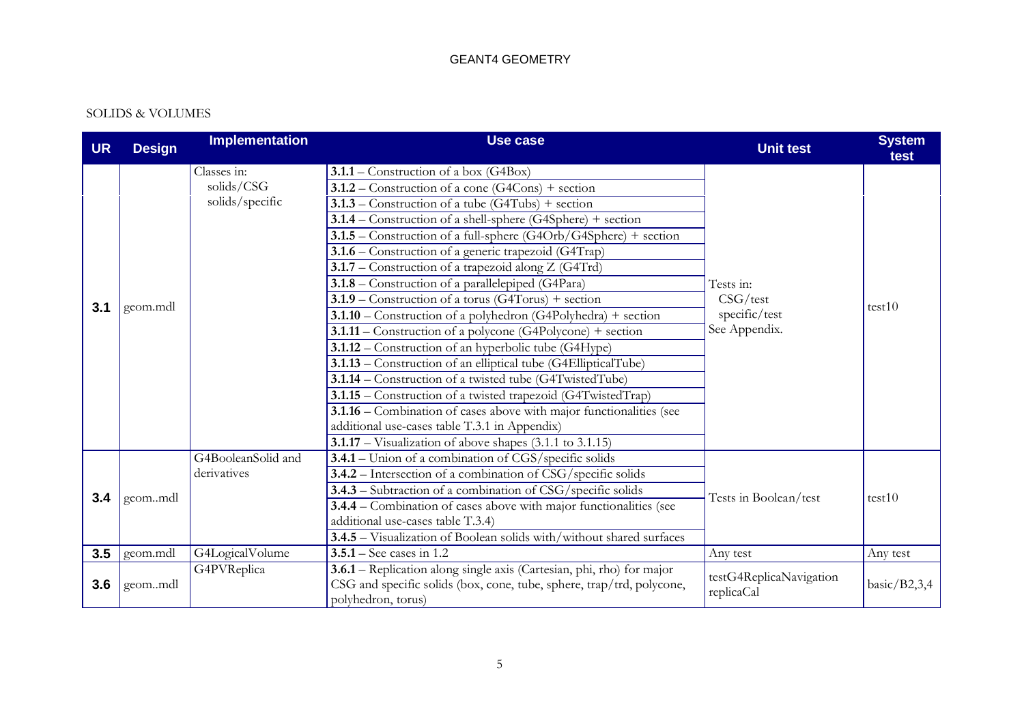#### SOLIDS & VOLUMES

| <b>UR</b> | <b>Design</b> | <b>Implementation</b>                        | <b>Use case</b>                                                                                                                                                                                                                                                                                                                                                                                                                                                                                                                                                                                                                                                                                                                                                                                                                                                                                                                                                                                                                                                                                        | <b>Unit test</b>                                        | <b>System</b><br>test |
|-----------|---------------|----------------------------------------------|--------------------------------------------------------------------------------------------------------------------------------------------------------------------------------------------------------------------------------------------------------------------------------------------------------------------------------------------------------------------------------------------------------------------------------------------------------------------------------------------------------------------------------------------------------------------------------------------------------------------------------------------------------------------------------------------------------------------------------------------------------------------------------------------------------------------------------------------------------------------------------------------------------------------------------------------------------------------------------------------------------------------------------------------------------------------------------------------------------|---------------------------------------------------------|-----------------------|
| 3.1       | geom.mdl      | Classes in:<br>solids/CSG<br>solids/specific | $3.1.1 -$ Construction of a box (G4Box)<br>$3.1.2$ – Construction of a cone (G4Cons) + section<br>$3.1.3$ – Construction of a tube (G4Tubs) + section<br>3.1.4 – Construction of a shell-sphere (G4Sphere) + section<br>3.1.5 – Construction of a full-sphere (G4Orb/G4Sphere) + section<br>3.1.6 – Construction of a generic trapezoid (G4Trap)<br>3.1.7 – Construction of a trapezoid along $Z(G4Trd)$<br>$3.1.8$ – Construction of a parallelepiped (G4Para)<br>$3.1.9$ – Construction of a torus (G4Torus) + section<br>$3.1.10$ – Construction of a polyhedron (G4Polyhedra) + section<br>$3.1.11$ – Construction of a polycone (G4Polycone) + section<br>3.1.12 – Construction of an hyperbolic tube (G4Hype)<br>3.1.13 - Construction of an elliptical tube (G4EllipticalTube)<br>3.1.14 – Construction of a twisted tube (G4TwistedTube)<br>3.1.15 - Construction of a twisted trapezoid (G4TwistedTrap)<br>3.1.16 – Combination of cases above with major functionalities (see<br>additional use-cases table T.3.1 in Appendix)<br>$3.1.17$ – Visualization of above shapes (3.1.1 to 3.1.15) | Tests in:<br>CSG/test<br>specific/test<br>See Appendix. | test10                |
| 3.4       | geommdl       | G4BooleanSolid and<br>derivatives            | 3.4.1 – Union of a combination of CGS/specific solids<br>3.4.2 - Intersection of a combination of CSG/specific solids<br>3.4.3 – Subtraction of a combination of CSG/specific solids<br>3.4.4 – Combination of cases above with major functionalities (see<br>additional use-cases table T.3.4)<br>3.4.5 - Visualization of Boolean solids with/without shared surfaces                                                                                                                                                                                                                                                                                                                                                                                                                                                                                                                                                                                                                                                                                                                                | Tests in Boolean/test                                   | test10                |
| 3.5       | geom.mdl      | G4LogicalVolume                              | $3.5.1 -$ See cases in 1.2                                                                                                                                                                                                                                                                                                                                                                                                                                                                                                                                                                                                                                                                                                                                                                                                                                                                                                                                                                                                                                                                             | Any test                                                | Any test              |
| 3.6       | geommdl       | G4PVReplica                                  | 3.6.1 - Replication along single axis (Cartesian, phi, rho) for major<br>CSG and specific solids (box, cone, tube, sphere, trap/trd, polycone,<br>polyhedron, torus)                                                                                                                                                                                                                                                                                                                                                                                                                                                                                                                                                                                                                                                                                                                                                                                                                                                                                                                                   | testG4ReplicaNavigation<br>replicaCal                   | basic/ $B2,3,4$       |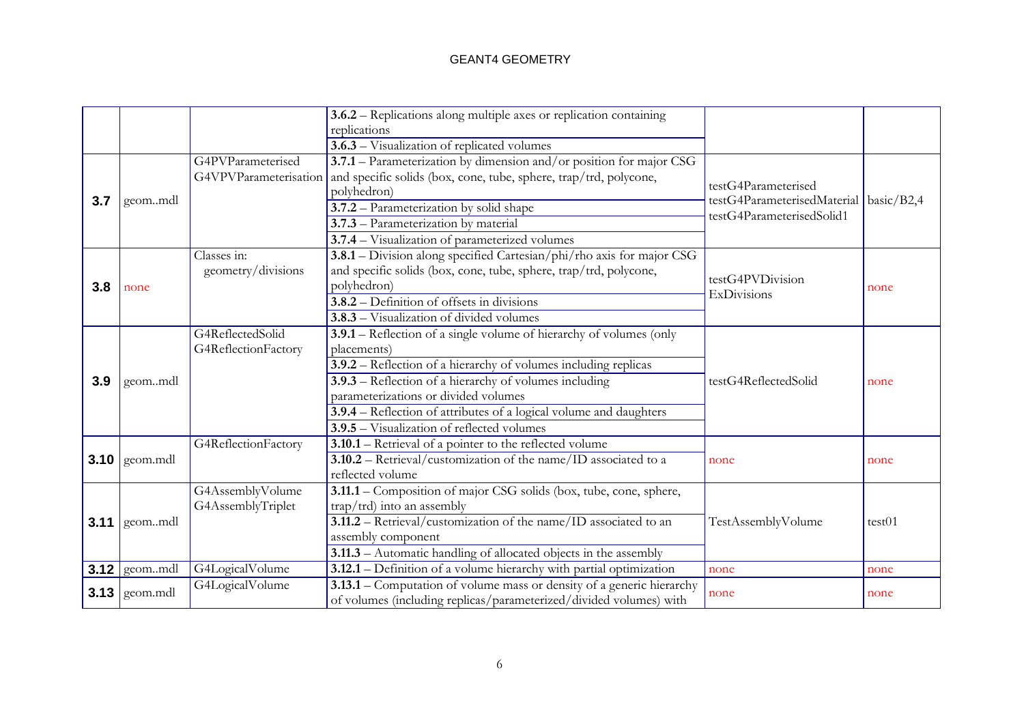|      |                 |                     | 3.6.2 – Replications along multiple axes or replication containing                      |                                          |        |
|------|-----------------|---------------------|-----------------------------------------------------------------------------------------|------------------------------------------|--------|
|      |                 |                     | replications                                                                            |                                          |        |
|      |                 |                     | 3.6.3 – Visualization of replicated volumes                                             |                                          |        |
|      |                 | G4PVParameterised   | 3.7.1 – Parameterization by dimension and/or position for major CSG                     |                                          |        |
|      |                 |                     | G4VPVParameterisation and specific solids (box, cone, tube, sphere, trap/trd, polycone, | testG4Parameterised                      |        |
| 3.7  |                 |                     | polyhedron)                                                                             | testG4ParameterisedMaterial   basic/B2,4 |        |
|      | geommdl         |                     | 3.7.2 - Parameterization by solid shape                                                 | testG4ParameterisedSolid1                |        |
|      |                 |                     | 3.7.3 – Parameterization by material                                                    |                                          |        |
|      |                 |                     | 3.7.4 - Visualization of parameterized volumes                                          |                                          |        |
|      |                 | Classes in:         | 3.8.1 - Division along specified Cartesian/phi/rho axis for major CSG                   |                                          |        |
|      |                 | geometry/divisions  | and specific solids (box, cone, tube, sphere, trap/trd, polycone,                       | testG4PVDivision                         |        |
| 3.8  | none            |                     | polyhedron)                                                                             | ExDivisions                              | none   |
|      |                 |                     | 3.8.2 – Definition of offsets in divisions                                              |                                          |        |
|      |                 |                     | 3.8.3 – Visualization of divided volumes                                                |                                          |        |
|      |                 | G4ReflectedSolid    | 3.9.1 – Reflection of a single volume of hierarchy of volumes (only                     |                                          |        |
|      |                 | G4ReflectionFactory | placements)                                                                             |                                          |        |
|      |                 |                     | 3.9.2 – Reflection of a hierarchy of volumes including replicas                         |                                          |        |
| 3.9  | geommdl         |                     | $3.9.3$ – Reflection of a hierarchy of volumes including                                | testG4ReflectedSolid                     | none   |
|      |                 |                     | parameterizations or divided volumes                                                    |                                          |        |
|      |                 |                     | 3.9.4 – Reflection of attributes of a logical volume and daughters                      |                                          |        |
|      |                 |                     | 3.9.5 - Visualization of reflected volumes                                              |                                          |        |
|      |                 | G4ReflectionFactory | 3.10.1 - Retrieval of a pointer to the reflected volume                                 |                                          |        |
|      | $3.10$ geom.mdl |                     | 3.10.2 - Retrieval/customization of the name/ID associated to a                         | none                                     | none   |
|      |                 |                     | reflected volume                                                                        |                                          |        |
|      |                 | G4AssemblyVolume    | 3.11.1 - Composition of major CSG solids (box, tube, cone, sphere,                      |                                          |        |
|      |                 | G4AssemblyTriplet   | $trap/trd)$ into an assembly                                                            |                                          |        |
|      | $3.11$ geommdl  |                     | 3.11.2 - Retrieval/customization of the name/ID associated to an                        | TestAssemblyVolume                       | test01 |
|      |                 |                     | assembly component                                                                      |                                          |        |
|      |                 |                     | 3.11.3 - Automatic handling of allocated objects in the assembly                        |                                          |        |
| 3.12 | geommdl         | G4LogicalVolume     | 3.12.1 – Definition of a volume hierarchy with partial optimization                     | none                                     | none   |
|      |                 | G4LogicalVolume     | 3.13.1 - Computation of volume mass or density of a generic hierarchy                   |                                          |        |
|      | $3.13$ geom.mdl |                     | of volumes (including replicas/parameterized/divided volumes) with                      | none                                     | none   |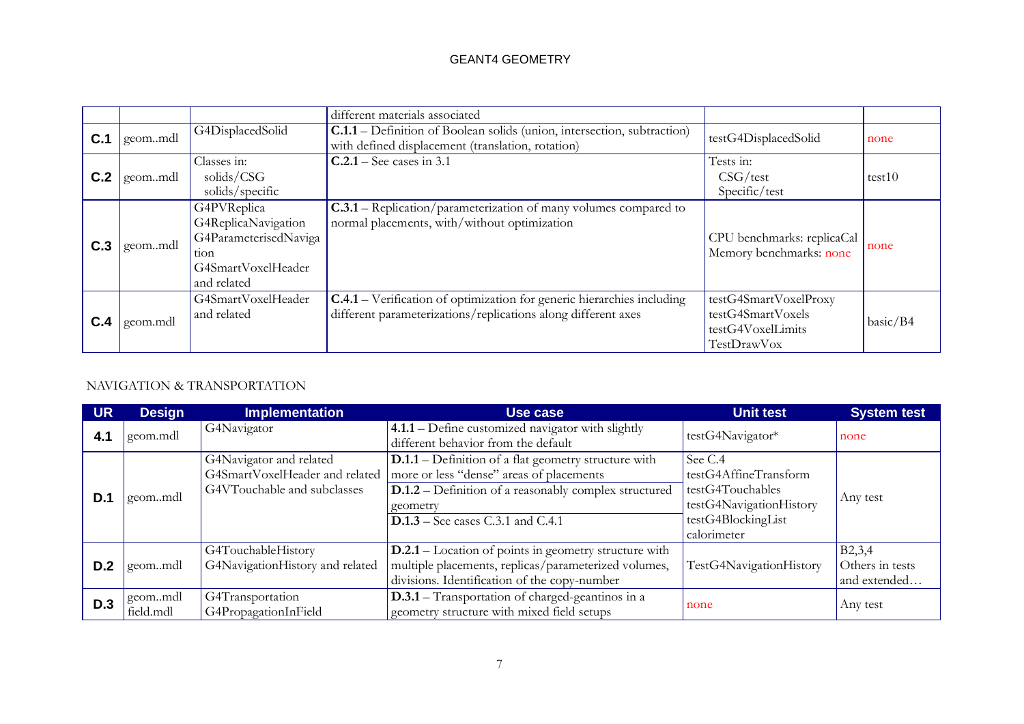|     |          |                                                                                                          | different materials associated                                                                                                                 |                                                                                |          |
|-----|----------|----------------------------------------------------------------------------------------------------------|------------------------------------------------------------------------------------------------------------------------------------------------|--------------------------------------------------------------------------------|----------|
| C.1 | geommdl  | G4DisplacedSolid                                                                                         | C.1.1 – Definition of Boolean solids (union, intersection, subtraction)<br>with defined displacement (translation, rotation)                   | testG4DisplacedSolid                                                           | none     |
| C.2 | geommdl  | Classes in:<br>solids/CSG<br>solids/specific                                                             | $C.2.1 -$ See cases in 3.1                                                                                                                     | Tests in:<br>CSG/test<br>Specific/test                                         | test10   |
| C.3 | geommdl  | G4PVReplica<br>G4ReplicaNavigation<br>G4ParameterisedNaviga<br>tion<br>G4SmartVoxelHeader<br>and related | <b>C.3.1</b> – Replication/parameterization of many volumes compared to<br>normal placements, with/without optimization                        | CPU benchmarks: replicaCal<br>Memory benchmarks: none                          | none     |
| C.4 | geom.mdl | G4SmartVoxelHeader<br>and related                                                                        | <b>C.4.1</b> – Verification of optimization for generic hierarchies including<br>different parameterizations/replications along different axes | testG4SmartVoxelProxy<br>testG4SmartVoxels<br>testG4VoxelLimits<br>TestDrawVox | basic/B4 |

# NAVIGATION & TRANSPORTATION

| <b>UR</b> | <b>Design</b>          | <b>Implementation</b>                                                                    | Use case                                                                                                                                                                                                                   | <b>Unit test</b>                                                                                                     | <b>System test</b>                                     |
|-----------|------------------------|------------------------------------------------------------------------------------------|----------------------------------------------------------------------------------------------------------------------------------------------------------------------------------------------------------------------------|----------------------------------------------------------------------------------------------------------------------|--------------------------------------------------------|
| 4.1       | geom.mdl               | G4Navigator                                                                              | $4.1.1 -$ Define customized navigator with slightly<br>different behavior from the default                                                                                                                                 | testG4Navigator*                                                                                                     | none                                                   |
| D.1       | geommdl                | G4Navigator and related<br>G4SmartVoxelHeader and related<br>G4VTouchable and subclasses | $D.1.1 - Definition of a flat geometry structure with$<br>more or less "dense" areas of placements<br><b>D.1.2</b> – Definition of a reasonably complex structured<br>geometry<br><b>D.1.3</b> – See cases C.3.1 and C.4.1 | See C.4<br>testG4AffineTransform<br>testG4Touchables<br>testG4NavigationHistory<br>testG4BlockingList<br>calorimeter | Any test                                               |
| D.2       | geommdl                | G4TouchableHistory<br>G4NavigationHistory and related                                    | <b>D.2.1</b> – Location of points in geometry structure with<br>multiple placements, replicas/parameterized volumes,<br>divisions. Identification of the copy-number                                                       | TestG4NavigationHistory                                                                                              | B <sub>2</sub> ,3,4<br>Others in tests<br>and extended |
| D.3       | I geommdl<br>field.mdl | G4Transportation<br>G4PropagationInField                                                 | <b>D.3.1</b> – Transportation of charged-geantinos in a<br>geometry structure with mixed field setups                                                                                                                      | none                                                                                                                 | Any test                                               |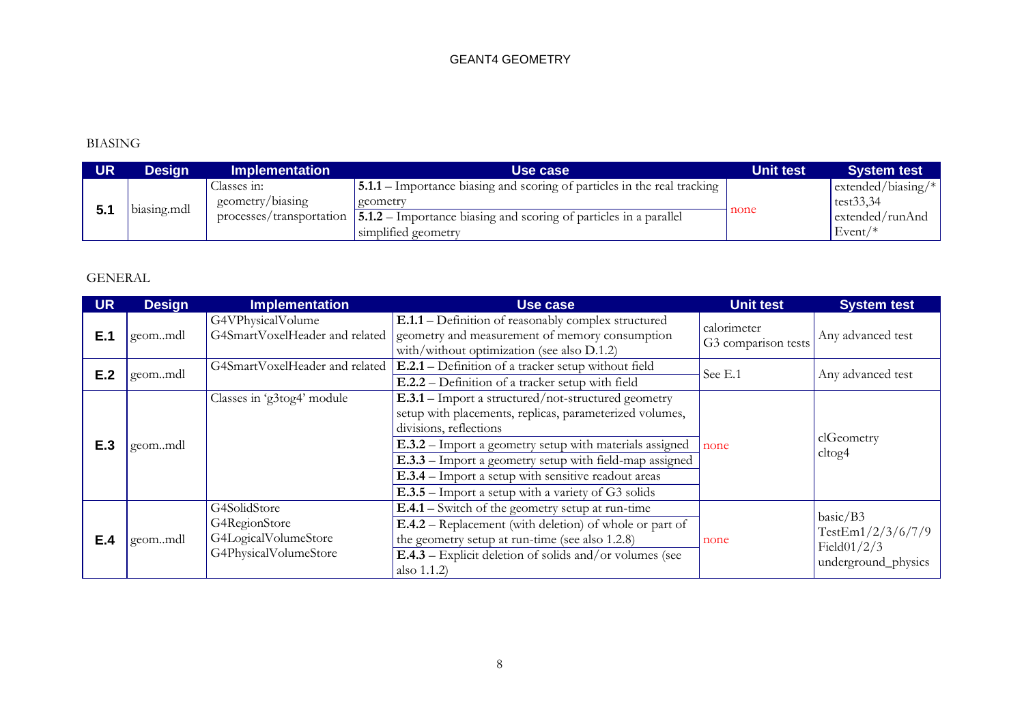# BIASING

| UR | Design      | Implementation                  | Use case                                                                                                                  | <b>Unit test</b> | <b>System test</b>                    |
|----|-------------|---------------------------------|---------------------------------------------------------------------------------------------------------------------------|------------------|---------------------------------------|
|    |             | Classes 1n:<br>geometry/biasing | [5.1.1 – Importance biasing and scoring of particles in the real tracking<br>geometry                                     |                  | extended/biasing/ $*$<br>test $33,34$ |
|    | biasing.mdl |                                 | processes/transportation $\vert 5.1.2$ – Importance biasing and scoring of particles in a parallel<br>simplified geometry | none             | extended/runAnd<br>$Event/*$          |

# GENERAL

| <b>UR</b> | <b>Design</b> | <b>Implementation</b>                                                          | <b>Use case</b>                                                                                                                                                                                                                                                                                                                                                                      | <b>Unit test</b>                   | <b>System test</b>                                                                        |
|-----------|---------------|--------------------------------------------------------------------------------|--------------------------------------------------------------------------------------------------------------------------------------------------------------------------------------------------------------------------------------------------------------------------------------------------------------------------------------------------------------------------------------|------------------------------------|-------------------------------------------------------------------------------------------|
| E.1       | geommdl       | G4VPhysicalVolume<br>G4SmartVoxelHeader and related                            | E.1.1 – Definition of reasonably complex structured<br>geometry and measurement of memory consumption<br>with/without optimization (see also D.1.2)                                                                                                                                                                                                                                  | calorimeter<br>G3 comparison tests | Any advanced test                                                                         |
| E.2       | geommdl       | G4SmartVoxelHeader and related                                                 | E.2.1 – Definition of a tracker setup without field<br>See E.1<br>E.2.2 – Definition of a tracker setup with field                                                                                                                                                                                                                                                                   |                                    | Any advanced test                                                                         |
| E.3       | geommdl       | Classes in 'g3tog4' module                                                     | $E.3.1 -$ Import a structured/not-structured geometry<br>setup with placements, replicas, parameterized volumes,<br>divisions, reflections<br>E.3.2 - Import a geometry setup with materials assigned<br>E.3.3 - Import a geometry setup with field-map assigned<br>E.3.4 - Import a setup with sensitive readout areas<br><b>E.3.5</b> – Import a setup with a variety of G3 solids | none                               | clGeometry<br>ct <sub>og4</sub>                                                           |
| E.4       | geommdl       | G4SolidStore<br>G4RegionStore<br>G4LogicalVolumeStore<br>G4PhysicalVolumeStore | $E.4.1 -$ Switch of the geometry setup at run-time<br><b>E.4.2</b> – Replacement (with deletion) of whole or part of<br>the geometry setup at run-time (see also 1.2.8)<br>$E.4.3$ – Explicit deletion of solids and/or volumes (see<br>also 1.1.2)                                                                                                                                  | none                               | $\text{basic}/\text{B3}$<br>TestEm $1/2/3/6/7/9$<br>Field $01/2/3$<br>underground_physics |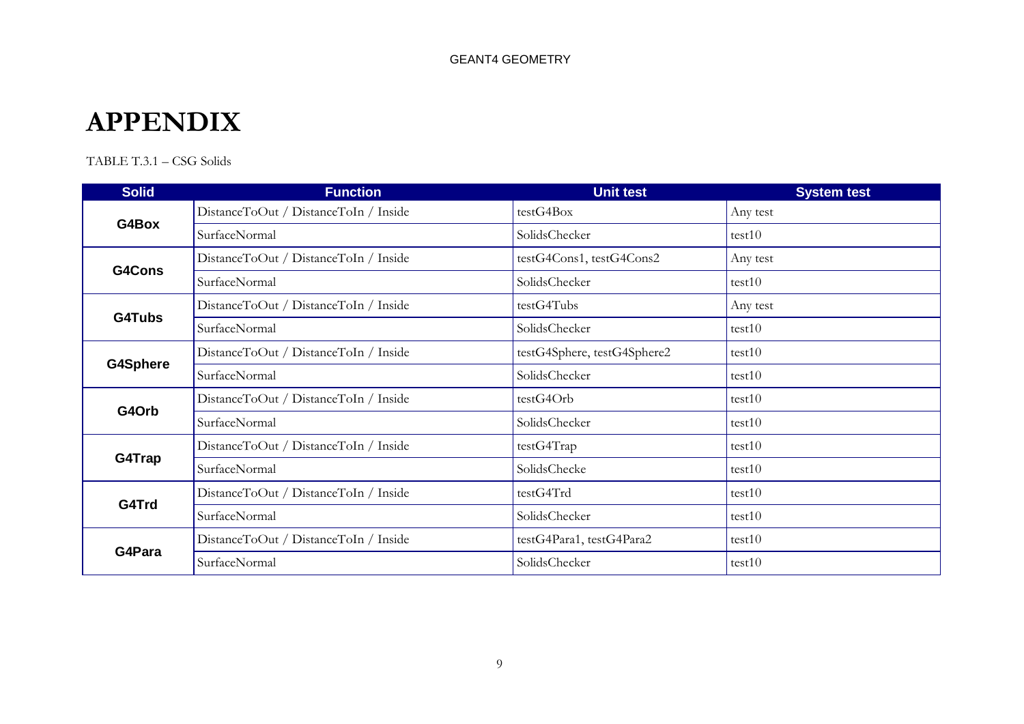# **APPENDIX**

TABLE T.3.1 – CSG Solids

| <b>Solid</b>    | <b>Function</b>                       | Unit test                   | <b>System test</b> |
|-----------------|---------------------------------------|-----------------------------|--------------------|
|                 | DistanceToOut / DistanceToIn / Inside | testG4Box                   | Any test           |
| G4Box           | SurfaceNormal                         | SolidsChecker               | test10             |
| G4Cons          | DistanceToOut / DistanceToIn / Inside | testG4Cons1, testG4Cons2    | Any test           |
|                 | SurfaceNormal                         | SolidsChecker               | test10             |
| G4Tubs          | DistanceToOut / DistanceToIn / Inside | testG4Tubs                  | Any test           |
|                 | SurfaceNormal                         | SolidsChecker               | test10             |
|                 | DistanceToOut / DistanceToIn / Inside | testG4Sphere, testG4Sphere2 | test10             |
| <b>G4Sphere</b> | SurfaceNormal                         | SolidsChecker               | test10             |
|                 | DistanceToOut / DistanceToIn / Inside | testG4Orb                   | test10             |
| G4Orb           | SurfaceNormal                         | SolidsChecker               | test10             |
|                 | DistanceToOut / DistanceToIn / Inside | testG4Trap                  | test10             |
| G4Trap          | SurfaceNormal                         | SolidsChecke                | test10             |
| G4Trd           | DistanceToOut / DistanceToIn / Inside | testG4Trd                   | test10             |
|                 | SurfaceNormal                         | SolidsChecker               | test10             |
|                 | DistanceToOut / DistanceToIn / Inside | testG4Para1, testG4Para2    | test10             |
| G4Para          | SurfaceNormal                         | SolidsChecker               | test10             |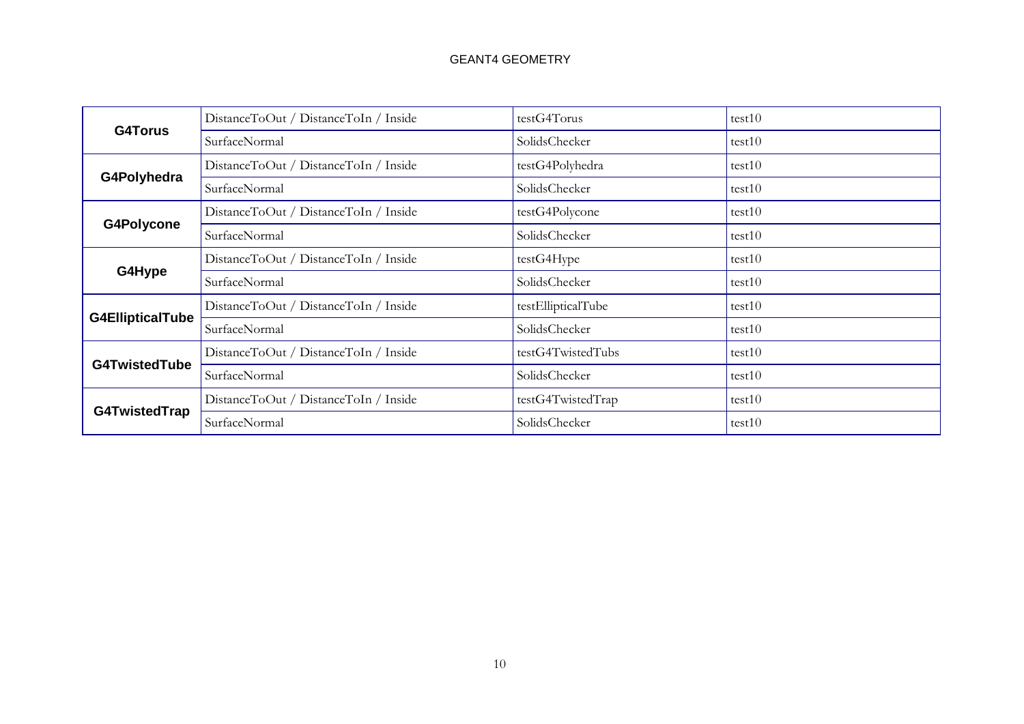| <b>G4Torus</b>          | DistanceToOut / DistanceToIn / Inside | testG4Torus        | test10 |
|-------------------------|---------------------------------------|--------------------|--------|
|                         | SurfaceNormal                         | SolidsChecker      | test10 |
|                         | DistanceToOut / DistanceToIn / Inside | testG4Polyhedra    | test10 |
| G4Polyhedra             | SurfaceNormal                         | SolidsChecker      | test10 |
|                         | DistanceToOut / DistanceToIn / Inside | testG4Polycone     | test10 |
| G4Polycone              | SurfaceNormal                         | SolidsChecker      | test10 |
|                         | DistanceToOut / DistanceToIn / Inside | testG4Hype         | test10 |
| G4Hype                  | SurfaceNormal                         | SolidsChecker      | test10 |
|                         | DistanceToOut / DistanceToIn / Inside | testEllipticalTube | test10 |
| <b>G4EllipticalTube</b> | SurfaceNormal                         | SolidsChecker      | test10 |
|                         | DistanceToOut / DistanceToIn / Inside | testG4TwistedTubs  | test10 |
| <b>G4TwistedTube</b>    | SurfaceNormal                         | SolidsChecker      | test10 |
|                         | DistanceToOut / DistanceToIn / Inside | testG4TwistedTrap  | test10 |
| G4TwistedTrap           | SurfaceNormal                         | SolidsChecker      | test10 |